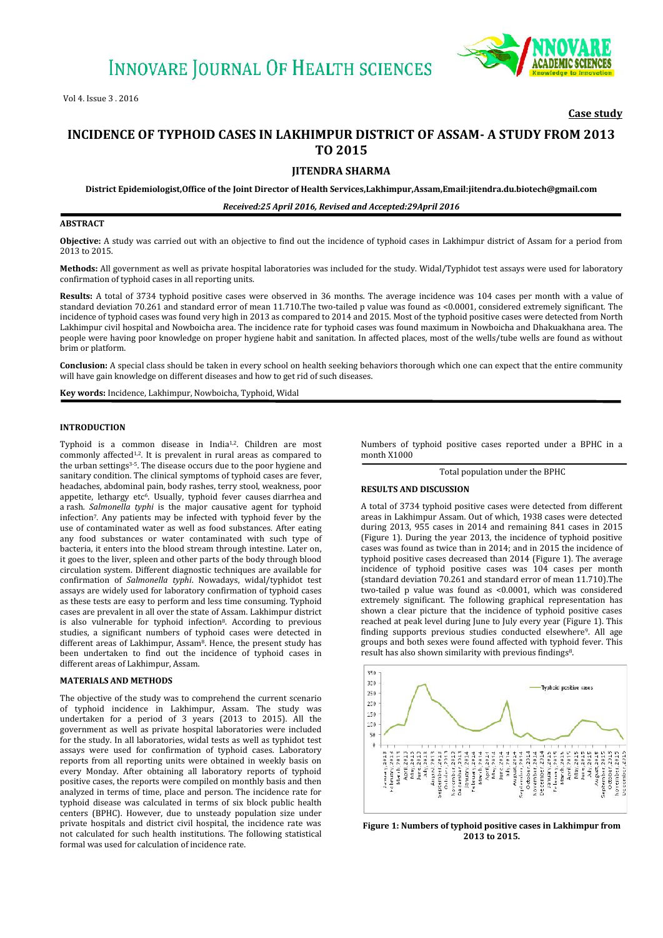

## **Case study**

# **INCIDENCE OF TYPHOID CASES IN LAKHIMPUR DISTRICT OF ASSAM- A STUDY FROM 2013 TO 2015**

**JITENDRA SHARMA**

**District Epidemiologist,Office of the Joint Director of Health Services,Lakhimpur,Assam,Email:jitendra.du.biotech@gmail.com**

*Received:25 April 2016, Revised and Accepted:29April 2016*

#### **ABSTRACT**

**Objective:** A study was carried out with an objective to find out the incidence of typhoid cases in Lakhimpur district of Assam for a period from 2013 to 2015.

**Methods:** All government as well as private hospital laboratories was included for the study. Widal/Typhidot test assays were used for laboratory confirmation of typhoid cases in all reporting units.

**Results:** A total of 3734 typhoid positive cases were observed in 36 months. The average incidence was 104 cases per month with a value of standard deviation 70.261 and standard error of mean 11.710.The two-tailed p value was found as <0.0001, considered extremely significant. The incidence of typhoid cases was found very high in 2013 as compared to 2014 and 2015. Most of the typhoid positive cases were detected from North Lakhimpur civil hospital and Nowboicha area. The incidence rate for typhoid cases was found maximum in Nowboicha and Dhakuakhana area. The people were having poor knowledge on proper hygiene habit and sanitation. In affected places, most of the wells/tube wells are found as without brim or platform.

**Conclusion:** A special class should be taken in every school on health seeking behaviors thorough which one can expect that the entire community will have gain knowledge on different diseases and how to get rid of such diseases.

**Key words:** Incidence, Lakhimpur, Nowboicha, Typhoid, Widal

#### **INTRODUCTION**

Typhoid is a common disease in India1,2. Children are most commonly affected<sup>1,2</sup>. It is prevalent in rural areas as compared to the urban settings 3-5. The disease occurs due to the poor hygiene and sanitary condition. The clinical symptoms of typhoid cases are fever, headaches, abdominal pain, body rashes, terry stool, weakness, poor appetite, lethargy etc<sup>6</sup>. Usually, typhoid fever causes diarrhea and a rash. *Salmonella typhi* is the major causative agent for typhoid infection<sup>7</sup>*.* Any patients may be infected with typhoid fever by the use of contaminated water as well as food substances. After eating any food substances or water contaminated with such type of bacteria, it enters into the blood stream through intestine. Later on, it goes to the liver, spleen and other parts of the body through blood circulation system. Different diagnostic techniques are available for confirmation of *Salmonella typhi*. Nowadays, widal/typhidot test assays are widely used for laboratory confirmation of typhoid cases as these tests are easy to perform and less time consuming. Typhoid cases are prevalent in all over the state of Assam. Lakhimpur district is also vulnerable for typhoid infection<sup>8</sup>. According to previous studies, a significant numbers of typhoid cases were detected in different areas of Lakhimpur, Assam<sup>8</sup>. Hence, the present study has been undertaken to find out the incidence of typhoid cases in different areas of Lakhimpur, Assam.

#### **MATERIALS AND METHODS**

The objective of the study was to comprehend the current scenario of typhoid incidence in Lakhimpur, Assam. The study was undertaken for a period of 3 years (2013 to 2015). All the government as well as private hospital laboratories were included for the study. In all laboratories, widal tests as well as typhidot test assays were used for confirmation of typhoid cases. Laboratory reports from all reporting units were obtained in weekly basis on every Monday. After obtaining all laboratory reports of typhoid positive cases, the reports were compiled on monthly basis and then analyzed in terms of time, place and person. The incidence rate for typhoid disease was calculated in terms of six block public health centers (BPHC). However, due to unsteady population size under private hospitals and district civil hospital, the incidence rate was not calculated for such health institutions. The following statistical formal was used for calculation of incidence rate.

Numbers of typhoid positive cases reported under a BPHC in a month X1000

Total population under the BPHC

#### **RESULTS AND DISCUSSION**

A total of 3734 typhoid positive cases were detected from different areas in Lakhimpur Assam. Out of which, 1938 cases were detected during 2013, 955 cases in 2014 and remaining 841 cases in 2015 (Figure 1). During the year 2013, the incidence of typhoid positive cases was found as twice than in 2014; and in 2015 the incidence of typhoid positive cases decreased than 2014 (Figure 1). The average incidence of typhoid positive cases was 104 cases per month (standard deviation 70.261 and standard error of mean 11.710).The two-tailed p value was found as <0.0001, which was considered extremely significant. The following graphical representation has shown a clear picture that the incidence of typhoid positive cases reached at peak level during June to July every year (Figure 1). This finding supports previous studies conducted elsewhere<sup>9</sup>. All age groups and both sexes were found affected with typhoid fever. This result has also shown similarity with previous findings <sup>8</sup>.



**Figure 1: Numbers of typhoid positive cases in Lakhimpur from 2013 to 2015.**